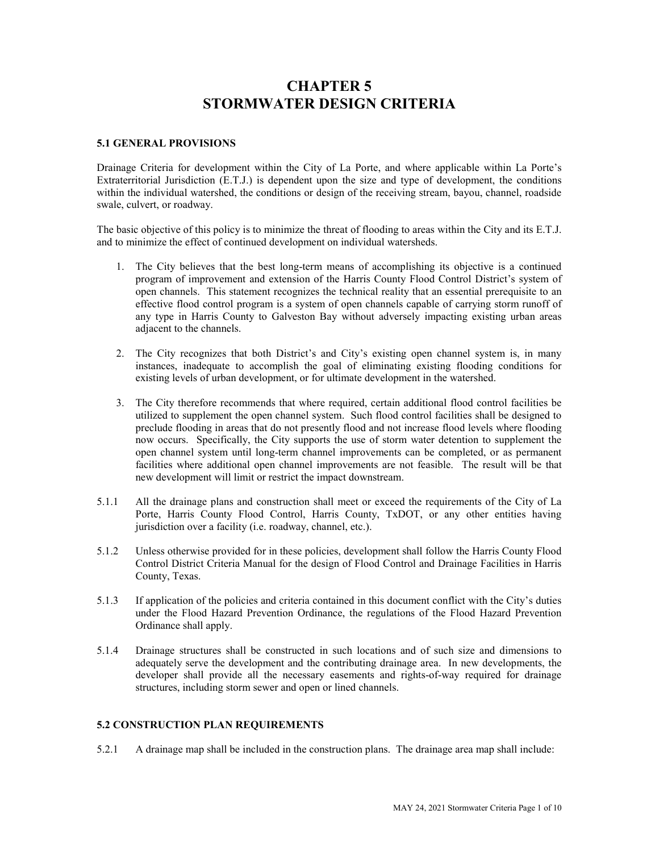# **CHAPTER 5 STORMWATER DESIGN CRITERIA**

## **5.1 GENERAL PROVISIONS**

Drainage Criteria for development within the City of La Porte, and where applicable within La Porte's Extraterritorial Jurisdiction (E.T.J.) is dependent upon the size and type of development, the conditions within the individual watershed, the conditions or design of the receiving stream, bayou, channel, roadside swale, culvert, or roadway.

The basic objective of this policy is to minimize the threat of flooding to areas within the City and its E.T.J. and to minimize the effect of continued development on individual watersheds.

- 1. The City believes that the best long-term means of accomplishing its objective is a continued program of improvement and extension of the Harris County Flood Control District's system of open channels. This statement recognizes the technical reality that an essential prerequisite to an effective flood control program is a system of open channels capable of carrying storm runoff of any type in Harris County to Galveston Bay without adversely impacting existing urban areas adjacent to the channels.
- 2. The City recognizes that both District's and City's existing open channel system is, in many instances, inadequate to accomplish the goal of eliminating existing flooding conditions for existing levels of urban development, or for ultimate development in the watershed.
- 3. The City therefore recommends that where required, certain additional flood control facilities be utilized to supplement the open channel system. Such flood control facilities shall be designed to preclude flooding in areas that do not presently flood and not increase flood levels where flooding now occurs. Specifically, the City supports the use of storm water detention to supplement the open channel system until long-term channel improvements can be completed, or as permanent facilities where additional open channel improvements are not feasible. The result will be that new development will limit or restrict the impact downstream.
- 5.1.1 All the drainage plans and construction shall meet or exceed the requirements of the City of La Porte, Harris County Flood Control, Harris County, TxDOT, or any other entities having jurisdiction over a facility (i.e. roadway, channel, etc.).
- 5.1.2 Unless otherwise provided for in these policies, development shall follow the Harris County Flood Control District Criteria Manual for the design of Flood Control and Drainage Facilities in Harris County, Texas.
- 5.1.3 If application of the policies and criteria contained in this document conflict with the City's duties under the Flood Hazard Prevention Ordinance, the regulations of the Flood Hazard Prevention Ordinance shall apply.
- 5.1.4 Drainage structures shall be constructed in such locations and of such size and dimensions to adequately serve the development and the contributing drainage area. In new developments, the developer shall provide all the necessary easements and rights-of-way required for drainage structures, including storm sewer and open or lined channels.

# **5.2 CONSTRUCTION PLAN REQUIREMENTS**

5.2.1 A drainage map shall be included in the construction plans. The drainage area map shall include: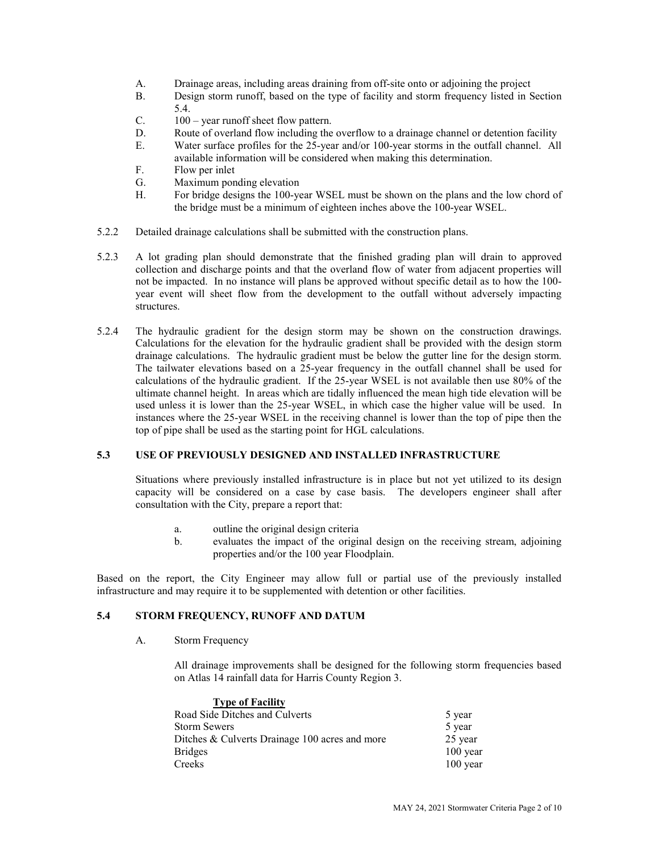- A. Drainage areas, including areas draining from off-site onto or adjoining the project R. Design storm runoff based on the type of facility and storm frequency listed in S.
- Design storm runoff, based on the type of facility and storm frequency listed in Section 5.4.
- C. 100 year runoff sheet flow pattern.
- D. Route of overland flow including the overflow to a drainage channel or detention facility
- E. Water surface profiles for the 25-year and/or 100-year storms in the outfall channel. All available information will be considered when making this determination.
- F. Flow per inlet
- G. Maximum ponding elevation
- H. For bridge designs the 100-year WSEL must be shown on the plans and the low chord of the bridge must be a minimum of eighteen inches above the 100-year WSEL.
- 5.2.2 Detailed drainage calculations shall be submitted with the construction plans.
- 5.2.3 A lot grading plan should demonstrate that the finished grading plan will drain to approved collection and discharge points and that the overland flow of water from adjacent properties will not be impacted. In no instance will plans be approved without specific detail as to how the 100 year event will sheet flow from the development to the outfall without adversely impacting structures.
- 5.2.4 The hydraulic gradient for the design storm may be shown on the construction drawings. Calculations for the elevation for the hydraulic gradient shall be provided with the design storm drainage calculations. The hydraulic gradient must be below the gutter line for the design storm. The tailwater elevations based on a 25-year frequency in the outfall channel shall be used for calculations of the hydraulic gradient. If the 25-year WSEL is not available then use 80% of the ultimate channel height. In areas which are tidally influenced the mean high tide elevation will be used unless it is lower than the 25-year WSEL, in which case the higher value will be used. In instances where the 25-year WSEL in the receiving channel is lower than the top of pipe then the top of pipe shall be used as the starting point for HGL calculations.

#### **5.3 USE OF PREVIOUSLY DESIGNED AND INSTALLED INFRASTRUCTURE**

Situations where previously installed infrastructure is in place but not yet utilized to its design capacity will be considered on a case by case basis. The developers engineer shall after consultation with the City, prepare a report that:

- a. outline the original design criteria
- b. evaluates the impact of the original design on the receiving stream, adjoining properties and/or the 100 year Floodplain.

Based on the report, the City Engineer may allow full or partial use of the previously installed infrastructure and may require it to be supplemented with detention or other facilities.

## **5.4 STORM FREQUENCY, RUNOFF AND DATUM**

A. Storm Frequency

All drainage improvements shall be designed for the following storm frequencies based on Atlas 14 rainfall data for Harris County Region 3.

| <b>Type of Facility</b>                        |            |
|------------------------------------------------|------------|
| Road Side Ditches and Culverts                 | 5 year     |
| <b>Storm Sewers</b>                            | 5 year     |
| Ditches & Culverts Drainage 100 acres and more | 25 year    |
| <b>Bridges</b>                                 | $100$ year |
| Creeks                                         | $100$ year |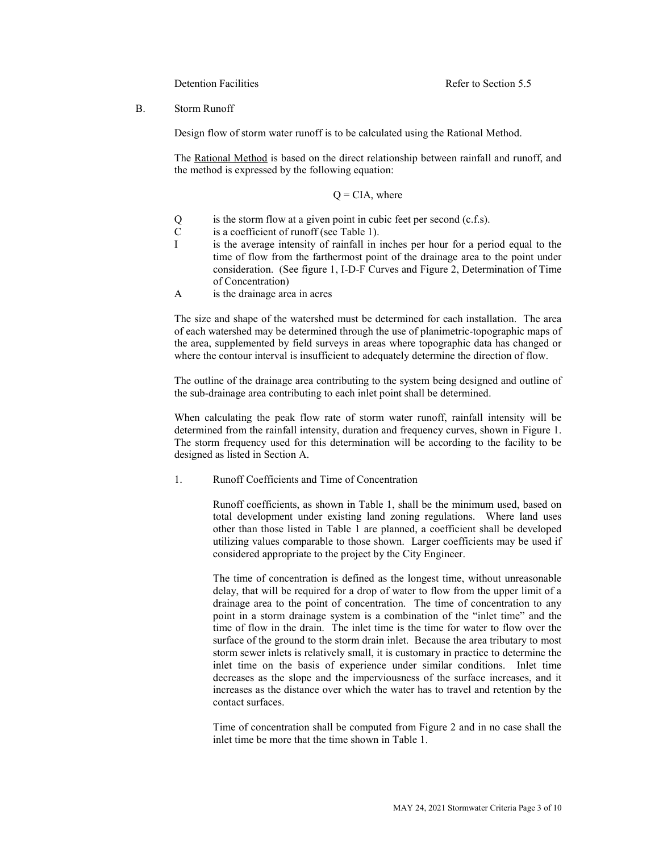B. Storm Runoff

Design flow of storm water runoff is to be calculated using the Rational Method.

The Rational Method is based on the direct relationship between rainfall and runoff, and the method is expressed by the following equation:

#### $Q = CIA$ , where

- $Q$  is the storm flow at a given point in cubic feet per second (c.f.s).<br>C is a coefficient of runoff (see Table 1).
- is a coefficient of runoff (see Table 1).
- I is the average intensity of rainfall in inches per hour for a period equal to the time of flow from the farthermost point of the drainage area to the point under consideration. (See figure 1, I-D-F Curves and Figure 2, Determination of Time of Concentration)
- A is the drainage area in acres

The size and shape of the watershed must be determined for each installation. The area of each watershed may be determined through the use of planimetric-topographic maps of the area, supplemented by field surveys in areas where topographic data has changed or where the contour interval is insufficient to adequately determine the direction of flow.

The outline of the drainage area contributing to the system being designed and outline of the sub-drainage area contributing to each inlet point shall be determined.

When calculating the peak flow rate of storm water runoff, rainfall intensity will be determined from the rainfall intensity, duration and frequency curves, shown in Figure 1. The storm frequency used for this determination will be according to the facility to be designed as listed in Section A.

1. Runoff Coefficients and Time of Concentration

Runoff coefficients, as shown in Table 1, shall be the minimum used, based on total development under existing land zoning regulations. Where land uses other than those listed in Table 1 are planned, a coefficient shall be developed utilizing values comparable to those shown. Larger coefficients may be used if considered appropriate to the project by the City Engineer.

The time of concentration is defined as the longest time, without unreasonable delay, that will be required for a drop of water to flow from the upper limit of a drainage area to the point of concentration. The time of concentration to any point in a storm drainage system is a combination of the "inlet time" and the time of flow in the drain. The inlet time is the time for water to flow over the surface of the ground to the storm drain inlet. Because the area tributary to most storm sewer inlets is relatively small, it is customary in practice to determine the inlet time on the basis of experience under similar conditions. Inlet time decreases as the slope and the imperviousness of the surface increases, and it increases as the distance over which the water has to travel and retention by the contact surfaces.

Time of concentration shall be computed from Figure 2 and in no case shall the inlet time be more that the time shown in Table 1.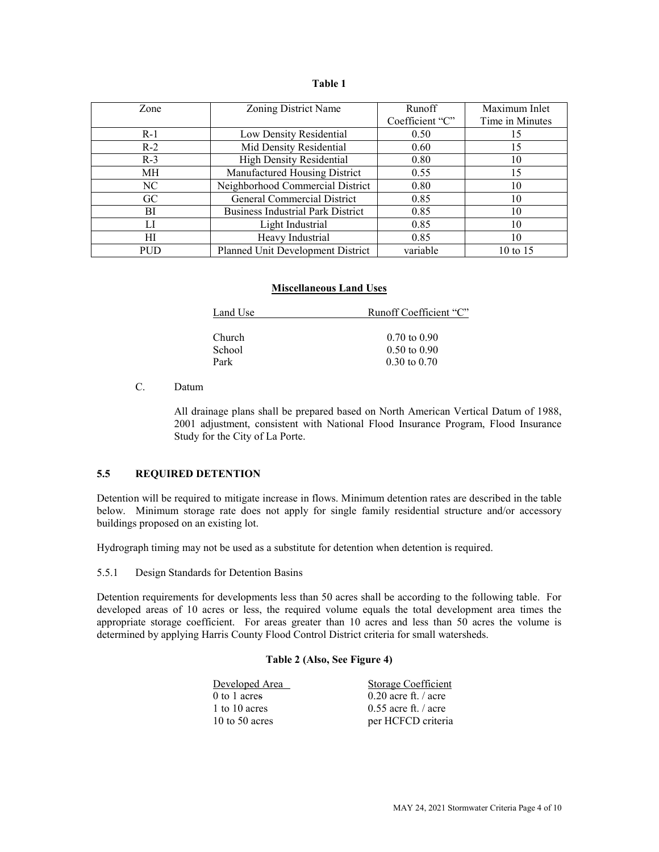#### **Table 1**

| Zone       | Zoning District Name                     | Runoff          | Maximum Inlet   |
|------------|------------------------------------------|-----------------|-----------------|
|            |                                          | Coefficient "C" | Time in Minutes |
| $R-1$      | Low Density Residential                  | 0.50            | 15              |
| $R-2$      | Mid Density Residential                  | 0.60            | 15              |
| $R-3$      | <b>High Density Residential</b>          | 0.80            | 10              |
| MH.        | Manufactured Housing District            | 0.55            | 15              |
| NC         | Neighborhood Commercial District         | 0.80            | 10              |
| GC         | General Commercial District              | 0.85            | 10              |
| BL         | <b>Business Industrial Park District</b> | 0.85            | 10              |
| LI         | Light Industrial                         | 0.85            | 10              |
| HІ         | Heavy Industrial                         | 0.85            | 10              |
| <b>PUD</b> | Planned Unit Development District        | variable        | 10 to $15$      |

#### **Miscellaneous Land Uses**

| Land Use      | Runoff Coefficient "C"  |  |
|---------------|-------------------------|--|
|               |                         |  |
| <b>Church</b> | $0.70 \text{ to } 0.90$ |  |
| School        | $0.50 \text{ to } 0.90$ |  |
| Park          | $0.30 \text{ to } 0.70$ |  |

C. Datum

All drainage plans shall be prepared based on North American Vertical Datum of 1988, 2001 adjustment, consistent with National Flood Insurance Program, Flood Insurance Study for the City of La Porte.

# **5.5 REQUIRED DETENTION**

Detention will be required to mitigate increase in flows. Minimum detention rates are described in the table below. Minimum storage rate does not apply for single family residential structure and/or accessory buildings proposed on an existing lot.

Hydrograph timing may not be used as a substitute for detention when detention is required.

5.5.1 Design Standards for Detention Basins

Detention requirements for developments less than 50 acres shall be according to the following table. For developed areas of 10 acres or less, the required volume equals the total development area times the appropriate storage coefficient. For areas greater than 10 acres and less than 50 acres the volume is determined by applying Harris County Flood Control District criteria for small watersheds.

# **Table 2 (Also, See Figure 4)**

| Developed Area | Storage Coefficient    |
|----------------|------------------------|
| $0$ to 1 acres | $0.20$ acre ft. / acre |
| 1 to 10 acres  | $0.55$ acre ft. / acre |
| 10 to 50 acres | per HCFCD criteria     |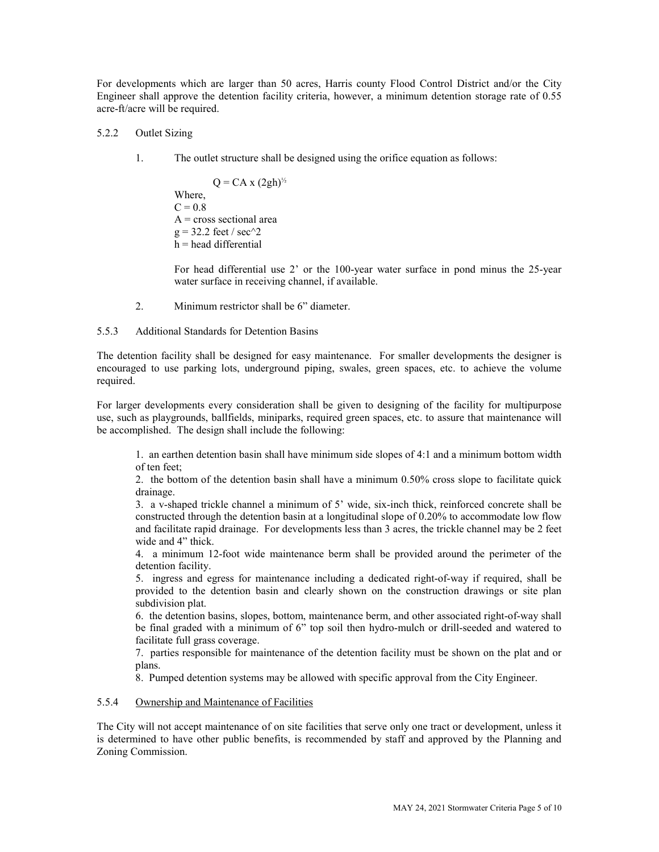For developments which are larger than 50 acres, Harris county Flood Control District and/or the City Engineer shall approve the detention facility criteria, however, a minimum detention storage rate of 0.55 acre-ft/acre will be required.

## 5.2.2 Outlet Sizing

1. The outlet structure shall be designed using the orifice equation as follows:

 $Q = CA \times (2gh)^{1/2}$ Where,  $C = 0.8$  $A = cross sectional area$  $g = 32.2$  feet / sec $\frac{1}{2}$ h = head differential

For head differential use 2' or the 100-year water surface in pond minus the 25-year water surface in receiving channel, if available.

2. Minimum restrictor shall be 6" diameter.

5.5.3 Additional Standards for Detention Basins

The detention facility shall be designed for easy maintenance. For smaller developments the designer is encouraged to use parking lots, underground piping, swales, green spaces, etc. to achieve the volume required.

For larger developments every consideration shall be given to designing of the facility for multipurpose use, such as playgrounds, ballfields, miniparks, required green spaces, etc. to assure that maintenance will be accomplished. The design shall include the following:

1. an earthen detention basin shall have minimum side slopes of 4:1 and a minimum bottom width of ten feet;

2. the bottom of the detention basin shall have a minimum 0.50% cross slope to facilitate quick drainage.

3. a v-shaped trickle channel a minimum of 5' wide, six-inch thick, reinforced concrete shall be constructed through the detention basin at a longitudinal slope of 0.20% to accommodate low flow and facilitate rapid drainage. For developments less than 3 acres, the trickle channel may be 2 feet wide and 4" thick.

4. a minimum 12-foot wide maintenance berm shall be provided around the perimeter of the detention facility.

5. ingress and egress for maintenance including a dedicated right-of-way if required, shall be provided to the detention basin and clearly shown on the construction drawings or site plan subdivision plat.

6. the detention basins, slopes, bottom, maintenance berm, and other associated right-of-way shall be final graded with a minimum of 6" top soil then hydro-mulch or drill-seeded and watered to facilitate full grass coverage.

7. parties responsible for maintenance of the detention facility must be shown on the plat and or plans.

8. Pumped detention systems may be allowed with specific approval from the City Engineer.

#### 5.5.4 Ownership and Maintenance of Facilities

The City will not accept maintenance of on site facilities that serve only one tract or development, unless it is determined to have other public benefits, is recommended by staff and approved by the Planning and Zoning Commission.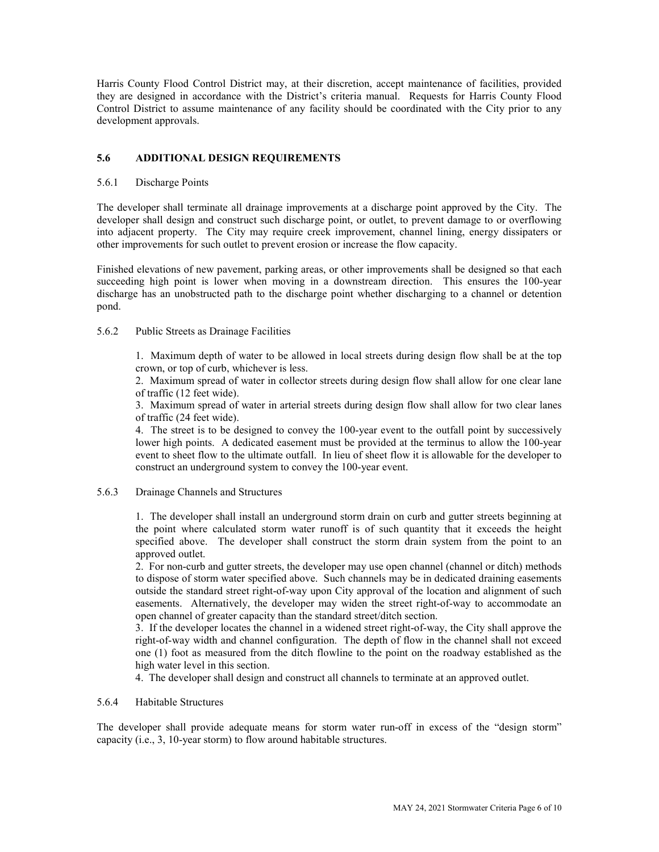Harris County Flood Control District may, at their discretion, accept maintenance of facilities, provided they are designed in accordance with the District's criteria manual. Requests for Harris County Flood Control District to assume maintenance of any facility should be coordinated with the City prior to any development approvals.

## **5.6 ADDITIONAL DESIGN REQUIREMENTS**

## 5.6.1 Discharge Points

The developer shall terminate all drainage improvements at a discharge point approved by the City. The developer shall design and construct such discharge point, or outlet, to prevent damage to or overflowing into adjacent property. The City may require creek improvement, channel lining, energy dissipaters or other improvements for such outlet to prevent erosion or increase the flow capacity.

Finished elevations of new pavement, parking areas, or other improvements shall be designed so that each succeeding high point is lower when moving in a downstream direction. This ensures the 100-year discharge has an unobstructed path to the discharge point whether discharging to a channel or detention pond.

## 5.6.2 Public Streets as Drainage Facilities

1. Maximum depth of water to be allowed in local streets during design flow shall be at the top crown, or top of curb, whichever is less.

2. Maximum spread of water in collector streets during design flow shall allow for one clear lane of traffic (12 feet wide).

3. Maximum spread of water in arterial streets during design flow shall allow for two clear lanes of traffic (24 feet wide).

4. The street is to be designed to convey the 100-year event to the outfall point by successively lower high points. A dedicated easement must be provided at the terminus to allow the 100-year event to sheet flow to the ultimate outfall. In lieu of sheet flow it is allowable for the developer to construct an underground system to convey the 100-year event.

## 5.6.3 Drainage Channels and Structures

1. The developer shall install an underground storm drain on curb and gutter streets beginning at the point where calculated storm water runoff is of such quantity that it exceeds the height specified above. The developer shall construct the storm drain system from the point to an approved outlet.

2. For non-curb and gutter streets, the developer may use open channel (channel or ditch) methods to dispose of storm water specified above. Such channels may be in dedicated draining easements outside the standard street right-of-way upon City approval of the location and alignment of such easements. Alternatively, the developer may widen the street right-of-way to accommodate an open channel of greater capacity than the standard street/ditch section.

3. If the developer locates the channel in a widened street right-of-way, the City shall approve the right-of-way width and channel configuration. The depth of flow in the channel shall not exceed one (1) foot as measured from the ditch flowline to the point on the roadway established as the high water level in this section.

4. The developer shall design and construct all channels to terminate at an approved outlet.

#### 5.6.4 Habitable Structures

The developer shall provide adequate means for storm water run-off in excess of the "design storm" capacity (i.e., 3, 10-year storm) to flow around habitable structures.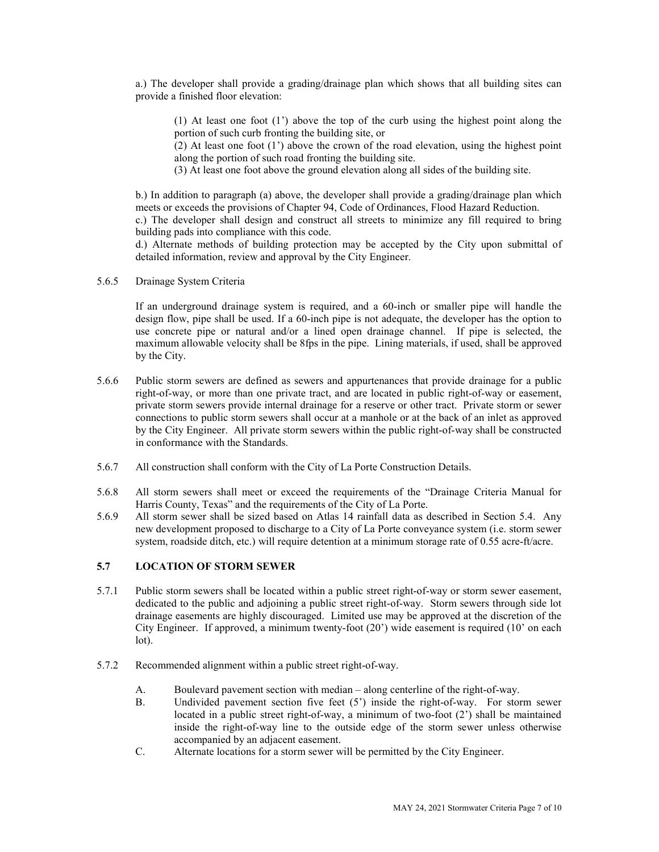a.) The developer shall provide a grading/drainage plan which shows that all building sites can provide a finished floor elevation:

(1) At least one foot (1') above the top of the curb using the highest point along the portion of such curb fronting the building site, or

(2) At least one foot  $(1')$  above the crown of the road elevation, using the highest point along the portion of such road fronting the building site.

(3) At least one foot above the ground elevation along all sides of the building site.

b.) In addition to paragraph (a) above, the developer shall provide a grading/drainage plan which meets or exceeds the provisions of Chapter 94, Code of Ordinances, Flood Hazard Reduction. c.) The developer shall design and construct all streets to minimize any fill required to bring building pads into compliance with this code.

d.) Alternate methods of building protection may be accepted by the City upon submittal of detailed information, review and approval by the City Engineer.

5.6.5 Drainage System Criteria

If an underground drainage system is required, and a 60-inch or smaller pipe will handle the design flow, pipe shall be used. If a 60-inch pipe is not adequate, the developer has the option to use concrete pipe or natural and/or a lined open drainage channel. If pipe is selected, the maximum allowable velocity shall be 8fps in the pipe. Lining materials, if used, shall be approved by the City.

- 5.6.6 Public storm sewers are defined as sewers and appurtenances that provide drainage for a public right-of-way, or more than one private tract, and are located in public right-of-way or easement, private storm sewers provide internal drainage for a reserve or other tract. Private storm or sewer connections to public storm sewers shall occur at a manhole or at the back of an inlet as approved by the City Engineer. All private storm sewers within the public right-of-way shall be constructed in conformance with the Standards.
- 5.6.7 All construction shall conform with the City of La Porte Construction Details.
- 5.6.8 All storm sewers shall meet or exceed the requirements of the "Drainage Criteria Manual for Harris County, Texas" and the requirements of the City of La Porte.
- 5.6.9 All storm sewer shall be sized based on Atlas 14 rainfall data as described in Section 5.4. Any new development proposed to discharge to a City of La Porte conveyance system (i.e. storm sewer system, roadside ditch, etc.) will require detention at a minimum storage rate of 0.55 acre-ft/acre.

# **5.7 LOCATION OF STORM SEWER**

- 5.7.1 Public storm sewers shall be located within a public street right-of-way or storm sewer easement, dedicated to the public and adjoining a public street right-of-way. Storm sewers through side lot drainage easements are highly discouraged. Limited use may be approved at the discretion of the City Engineer. If approved, a minimum twenty-foot (20') wide easement is required (10' on each lot).
- 5.7.2 Recommended alignment within a public street right-of-way.
	- A. Boulevard pavement section with median along centerline of the right-of-way.
	- B. Undivided pavement section five feet (5') inside the right-of-way. For storm sewer located in a public street right-of-way, a minimum of two-foot (2') shall be maintained inside the right-of-way line to the outside edge of the storm sewer unless otherwise accompanied by an adjacent easement.
	- C. Alternate locations for a storm sewer will be permitted by the City Engineer.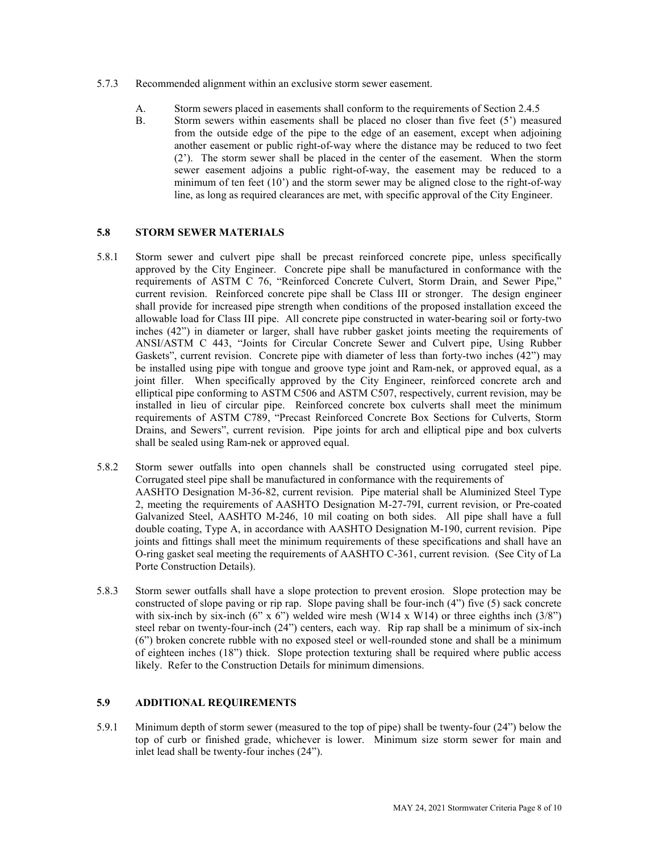- 5.7.3 Recommended alignment within an exclusive storm sewer easement.
	- A. Storm sewers placed in easements shall conform to the requirements of Section 2.4.5
	- B. Storm sewers within easements shall be placed no closer than five feet (5') measured from the outside edge of the pipe to the edge of an easement, except when adjoining another easement or public right-of-way where the distance may be reduced to two feet (2'). The storm sewer shall be placed in the center of the easement. When the storm sewer easement adjoins a public right-of-way, the easement may be reduced to a minimum of ten feet  $(10^{\circ})$  and the storm sewer may be aligned close to the right-of-way line, as long as required clearances are met, with specific approval of the City Engineer.

## **5.8 STORM SEWER MATERIALS**

- 5.8.1 Storm sewer and culvert pipe shall be precast reinforced concrete pipe, unless specifically approved by the City Engineer. Concrete pipe shall be manufactured in conformance with the requirements of ASTM C 76, "Reinforced Concrete Culvert, Storm Drain, and Sewer Pipe," current revision. Reinforced concrete pipe shall be Class III or stronger. The design engineer shall provide for increased pipe strength when conditions of the proposed installation exceed the allowable load for Class III pipe. All concrete pipe constructed in water-bearing soil or forty-two inches (42") in diameter or larger, shall have rubber gasket joints meeting the requirements of ANSI/ASTM C 443, "Joints for Circular Concrete Sewer and Culvert pipe, Using Rubber Gaskets", current revision. Concrete pipe with diameter of less than forty-two inches (42") may be installed using pipe with tongue and groove type joint and Ram-nek, or approved equal, as a joint filler. When specifically approved by the City Engineer, reinforced concrete arch and elliptical pipe conforming to ASTM C506 and ASTM C507, respectively, current revision, may be installed in lieu of circular pipe. Reinforced concrete box culverts shall meet the minimum requirements of ASTM C789, "Precast Reinforced Concrete Box Sections for Culverts, Storm Drains, and Sewers", current revision. Pipe joints for arch and elliptical pipe and box culverts shall be sealed using Ram-nek or approved equal.
- 5.8.2 Storm sewer outfalls into open channels shall be constructed using corrugated steel pipe. Corrugated steel pipe shall be manufactured in conformance with the requirements of AASHTO Designation M-36-82, current revision. Pipe material shall be Aluminized Steel Type 2, meeting the requirements of AASHTO Designation M-27-79I, current revision, or Pre-coated Galvanized Steel, AASHTO M-246, 10 mil coating on both sides. All pipe shall have a full double coating, Type A, in accordance with AASHTO Designation M-190, current revision. Pipe joints and fittings shall meet the minimum requirements of these specifications and shall have an O-ring gasket seal meeting the requirements of AASHTO C-361, current revision. (See City of La Porte Construction Details).
- 5.8.3 Storm sewer outfalls shall have a slope protection to prevent erosion. Slope protection may be constructed of slope paving or rip rap. Slope paving shall be four-inch (4") five (5) sack concrete with six-inch by six-inch (6" x 6") welded wire mesh (W14 x W14) or three eighths inch (3/8") steel rebar on twenty-four-inch (24") centers, each way. Rip rap shall be a minimum of six-inch (6") broken concrete rubble with no exposed steel or well-rounded stone and shall be a minimum of eighteen inches (18") thick. Slope protection texturing shall be required where public access likely. Refer to the Construction Details for minimum dimensions.

## **5.9 ADDITIONAL REQUIREMENTS**

5.9.1 Minimum depth of storm sewer (measured to the top of pipe) shall be twenty-four (24") below the top of curb or finished grade, whichever is lower. Minimum size storm sewer for main and inlet lead shall be twenty-four inches (24").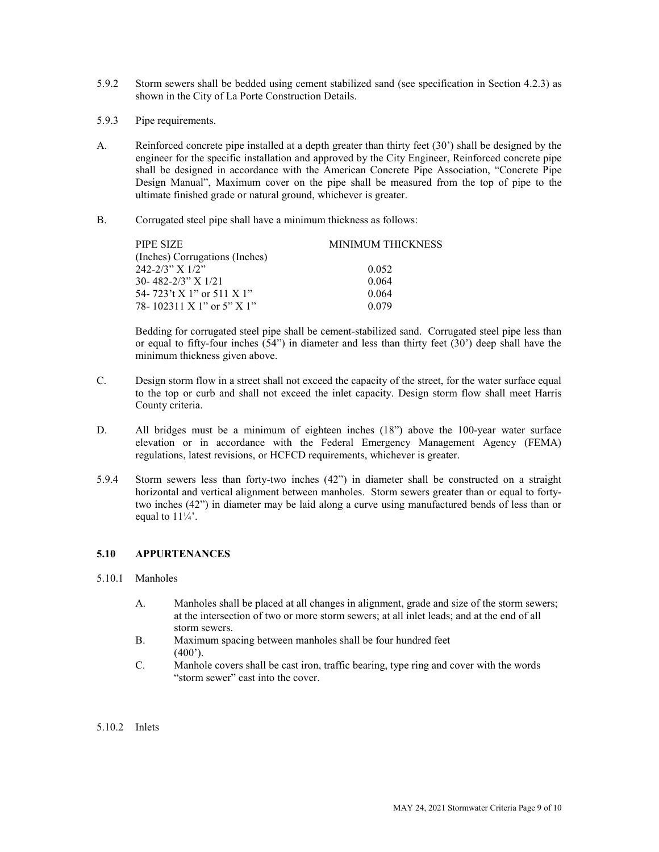- 5.9.2 Storm sewers shall be bedded using cement stabilized sand (see specification in Section 4.2.3) as shown in the City of La Porte Construction Details.
- 5.9.3 Pipe requirements.
- A. Reinforced concrete pipe installed at a depth greater than thirty feet (30') shall be designed by the engineer for the specific installation and approved by the City Engineer, Reinforced concrete pipe shall be designed in accordance with the American Concrete Pipe Association, "Concrete Pipe Design Manual", Maximum cover on the pipe shall be measured from the top of pipe to the ultimate finished grade or natural ground, whichever is greater.
- B. Corrugated steel pipe shall have a minimum thickness as follows:

| PIPE SIZE                      | <b>MINIMUM THICKNESS</b> |
|--------------------------------|--------------------------|
| (Inches) Corrugations (Inches) |                          |
| $242 - 2/3$ " X $1/2$ "        | 0.052                    |
| $30 - 482 - 2/3$ " X $1/21$    | 0.064                    |
| 54-723't X 1" or 511 X 1"      | 0.064                    |
| 78-102311 X 1" or 5" X 1"      | 0.079                    |

Bedding for corrugated steel pipe shall be cement-stabilized sand. Corrugated steel pipe less than or equal to fifty-four inches (54") in diameter and less than thirty feet (30') deep shall have the minimum thickness given above.

- C. Design storm flow in a street shall not exceed the capacity of the street, for the water surface equal to the top or curb and shall not exceed the inlet capacity. Design storm flow shall meet Harris County criteria.
- D. All bridges must be a minimum of eighteen inches (18") above the 100-year water surface elevation or in accordance with the Federal Emergency Management Agency (FEMA) regulations, latest revisions, or HCFCD requirements, whichever is greater.
- 5.9.4 Storm sewers less than forty-two inches (42") in diameter shall be constructed on a straight horizontal and vertical alignment between manholes. Storm sewers greater than or equal to fortytwo inches (42") in diameter may be laid along a curve using manufactured bends of less than or equal to  $11\frac{1}{4}$ .

# **5.10 APPURTENANCES**

#### 5.10.1 Manholes

- A. Manholes shall be placed at all changes in alignment, grade and size of the storm sewers; at the intersection of two or more storm sewers; at all inlet leads; and at the end of all storm sewers.
- B. Maximum spacing between manholes shall be four hundred feet  $(400^{\circ})$ .
- C. Manhole covers shall be cast iron, traffic bearing, type ring and cover with the words "storm sewer" cast into the cover.
- 5.10.2 Inlets